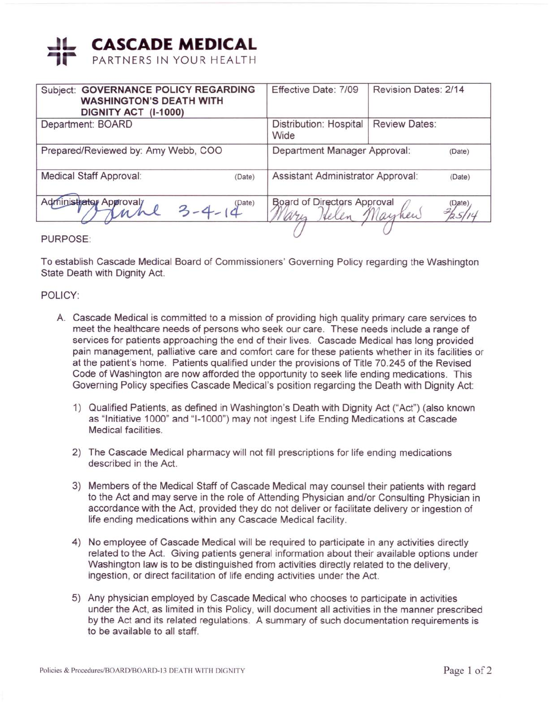

| Subject: GOVERNANCE POLICY REGARDING<br><b>WASHINGTON'S DEATH WITH</b><br>DIGNITY ACT (I-1000) | Effective Date: 7/09                                                     | Revision Dates: 2/14 |
|------------------------------------------------------------------------------------------------|--------------------------------------------------------------------------|----------------------|
| Department: BOARD                                                                              | Distribution: Hospital<br>Wide                                           | <b>Review Dates:</b> |
| Prepared/Reviewed by: Amy Webb, COO                                                            | Department Manager Approval:<br>(Date)                                   |                      |
| Medical Staff Approval:<br>(Date)                                                              | Assistant Administrator Approval:<br>(Date)                              |                      |
| Administrator Approvaly<br>$3 - 4 - 14^{\text{Date}}$<br>inhe                                  | Board of Directors Approval<br><i>Wary</i> Helen May.<br>(Date)<br>ayhew |                      |
| DUDDOOF.                                                                                       |                                                                          |                      |

PURPOSE:

To establish Cascade Medical Board of Commissioners' Governing Policy regarding the Washington State Death with Dignity Act.

## POLICY:

- A. Cascade Medical is committed to a mission of providing high quality primary care services to meet the healthcare needs of persons who seek our care. These needs include a range of services for patients approaching the end of their lives. Cascade Medical has long provided pain management, palliative care and comfort care for these patients whether in its facilities or at the patient's home. Patients qualified under the provisions of Title 70.245 of the Revised Code of Washington are now afforded the opportunity to seek life ending medications. This Governing Policy specifies Cascade Medical's position regarding the Death with Dignity Act:
	- 1) Qualified Patients, as defined in Washington's Death with Dignity Act ("Act") (also known as "Initiative 1000" and "I-1000") may not ingest Life Ending Medications at Cascade Medical facilities.
	- 2) The Cascade Medical pharmacy will not fill prescriptions for life ending medications described in the Act.
	- 3) Members of the Medical Staff of Cascade Medical may counsel their patients with regard to the Act and may serve in the role of Attending Physician and/or Consulting Physician in accordance with the Act, provided they do not deliver or facilitate delivery or ingestion of life ending medications within any Cascade Medical facility.
	- 4) No employee of Cascade Medical will be required to participate in any activities directly related to the Act. Giving patients general information about their available options under Washington law is to be distinguished from activities directly related to the delivery. ingestion, or direct facilitation of life ending activities under the Act.
	- 5) Any physician employed by Cascade Medical who chooses to participate in activities under the Act, as limited in this Policy, will document all activities in the manner prescribed by the Act and its related regulations. A summary of such documentation requirements is to be available to all staff.